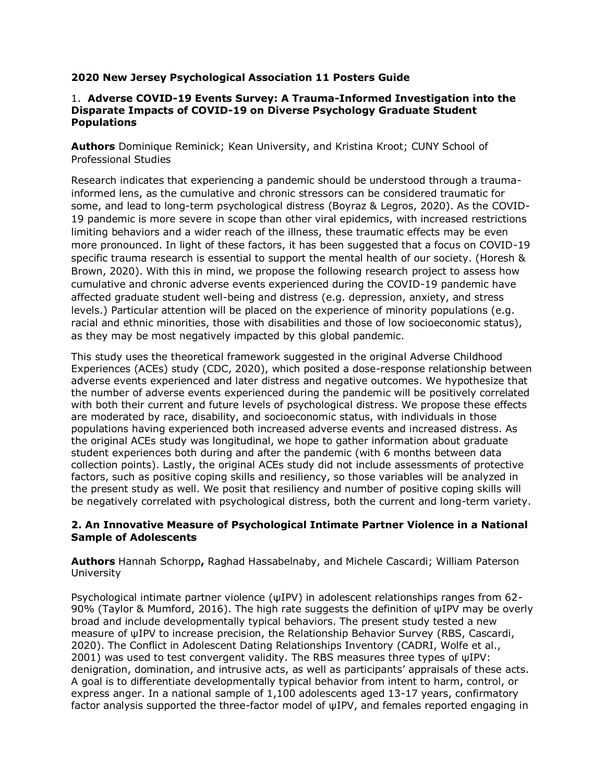### **2020 New Jersey Psychological Association 11 Posters Guide**

#### 1. **Adverse COVID-19 Events Survey: A Trauma-Informed Investigation into the Disparate Impacts of COVID-19 on Diverse Psychology Graduate Student Populations**

**Authors** Dominique Reminick; Kean University, and Kristina Kroot; CUNY School of Professional Studies

Research indicates that experiencing a pandemic should be understood through a traumainformed lens, as the cumulative and chronic stressors can be considered traumatic for some, and lead to long-term psychological distress (Boyraz & Legros, 2020). As the COVID-19 pandemic is more severe in scope than other viral epidemics, with increased restrictions limiting behaviors and a wider reach of the illness, these traumatic effects may be even more pronounced. In light of these factors, it has been suggested that a focus on COVID-19 specific trauma research is essential to support the mental health of our society. (Horesh & Brown, 2020). With this in mind, we propose the following research project to assess how cumulative and chronic adverse events experienced during the COVID-19 pandemic have affected graduate student well-being and distress (e.g. depression, anxiety, and stress levels.) Particular attention will be placed on the experience of minority populations (e.g. racial and ethnic minorities, those with disabilities and those of low socioeconomic status), as they may be most negatively impacted by this global pandemic.

This study uses the theoretical framework suggested in the original Adverse Childhood Experiences (ACEs) study (CDC, 2020), which posited a dose-response relationship between adverse events experienced and later distress and negative outcomes. We hypothesize that the number of adverse events experienced during the pandemic will be positively correlated with both their current and future levels of psychological distress. We propose these effects are moderated by race, disability, and socioeconomic status, with individuals in those populations having experienced both increased adverse events and increased distress. As the original ACEs study was longitudinal, we hope to gather information about graduate student experiences both during and after the pandemic (with 6 months between data collection points). Lastly, the original ACEs study did not include assessments of protective factors, such as positive coping skills and resiliency, so those variables will be analyzed in the present study as well. We posit that resiliency and number of positive coping skills will be negatively correlated with psychological distress, both the current and long-term variety.

### **2. An Innovative Measure of Psychological Intimate Partner Violence in a National Sample of Adolescents**

**Authors** Hannah Schorpp**,** Raghad Hassabelnaby, and Michele Cascardi; William Paterson University

Psychological intimate partner violence (ψIPV) in adolescent relationships ranges from 62- 90% (Taylor & Mumford, 2016). The high rate suggests the definition of ψIPV may be overly broad and include developmentally typical behaviors. The present study tested a new measure of ψIPV to increase precision, the Relationship Behavior Survey (RBS, Cascardi, 2020). The Conflict in Adolescent Dating Relationships Inventory (CADRI, Wolfe et al., 2001) was used to test convergent validity. The RBS measures three types of ψIPV: denigration, domination, and intrusive acts, as well as participants' appraisals of these acts. A goal is to differentiate developmentally typical behavior from intent to harm, control, or express anger. In a national sample of 1,100 adolescents aged 13-17 years, confirmatory factor analysis supported the three-factor model of ψIPV, and females reported engaging in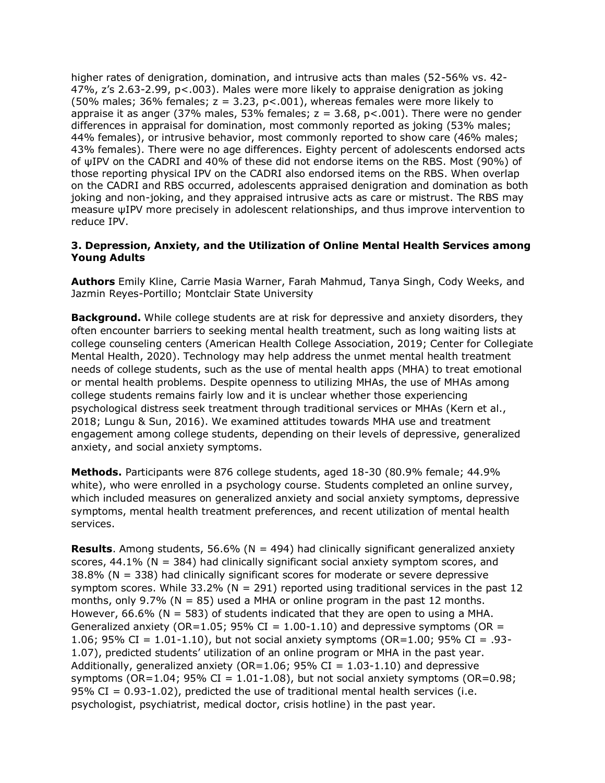higher rates of denigration, domination, and intrusive acts than males (52-56% vs. 42- 47%, z's 2.63-2.99, p<.003). Males were more likely to appraise denigration as joking (50% males; 36% females;  $z = 3.23$ ,  $p < .001$ ), whereas females were more likely to appraise it as anger (37% males, 53% females;  $z = 3.68$ ,  $p < .001$ ). There were no gender differences in appraisal for domination, most commonly reported as joking (53% males; 44% females), or intrusive behavior, most commonly reported to show care (46% males; 43% females). There were no age differences. Eighty percent of adolescents endorsed acts of ψIPV on the CADRI and 40% of these did not endorse items on the RBS. Most (90%) of those reporting physical IPV on the CADRI also endorsed items on the RBS. When overlap on the CADRI and RBS occurred, adolescents appraised denigration and domination as both joking and non-joking, and they appraised intrusive acts as care or mistrust. The RBS may measure ψIPV more precisely in adolescent relationships, and thus improve intervention to reduce IPV.

### **3. Depression, Anxiety, and the Utilization of Online Mental Health Services among Young Adults**

**Authors** Emily Kline, Carrie Masia Warner, Farah Mahmud, Tanya Singh, Cody Weeks, and Jazmin Reyes-Portillo; Montclair State University

**Background.** While college students are at risk for depressive and anxiety disorders, they often encounter barriers to seeking mental health treatment, such as long waiting lists at college counseling centers (American Health College Association, 2019; Center for Collegiate Mental Health, 2020). Technology may help address the unmet mental health treatment needs of college students, such as the use of mental health apps (MHA) to treat emotional or mental health problems. Despite openness to utilizing MHAs, the use of MHAs among college students remains fairly low and it is unclear whether those experiencing psychological distress seek treatment through traditional services or MHAs (Kern et al., 2018; Lungu & Sun, 2016). We examined attitudes towards MHA use and treatment engagement among college students, depending on their levels of depressive, generalized anxiety, and social anxiety symptoms.

**Methods.** Participants were 876 college students, aged 18-30 (80.9% female; 44.9% white), who were enrolled in a psychology course. Students completed an online survey, which included measures on generalized anxiety and social anxiety symptoms, depressive symptoms, mental health treatment preferences, and recent utilization of mental health services.

**Results**. Among students, 56.6% (N = 494) had clinically significant generalized anxiety scores,  $44.1\%$  (N = 384) had clinically significant social anxiety symptom scores, and 38.8% (N = 338) had clinically significant scores for moderate or severe depressive symptom scores. While  $33.2\%$  (N = 291) reported using traditional services in the past 12 months, only 9.7% ( $N = 85$ ) used a MHA or online program in the past 12 months. However, 66.6% ( $N = 583$ ) of students indicated that they are open to using a MHA. Generalized anxiety (OR=1.05; 95% CI =  $1.00-1.10$ ) and depressive symptoms (OR = 1.06; 95% CI = 1.01-1.10), but not social anxiety symptoms (OR=1.00; 95% CI = .93- 1.07), predicted students' utilization of an online program or MHA in the past year. Additionally, generalized anxiety (OR=1.06; 95% CI =  $1.03$ -1.10) and depressive symptoms (OR=1.04; 95% CI = 1.01-1.08), but not social anxiety symptoms (OR=0.98; 95% CI =  $0.93-1.02$ ), predicted the use of traditional mental health services (i.e. psychologist, psychiatrist, medical doctor, crisis hotline) in the past year.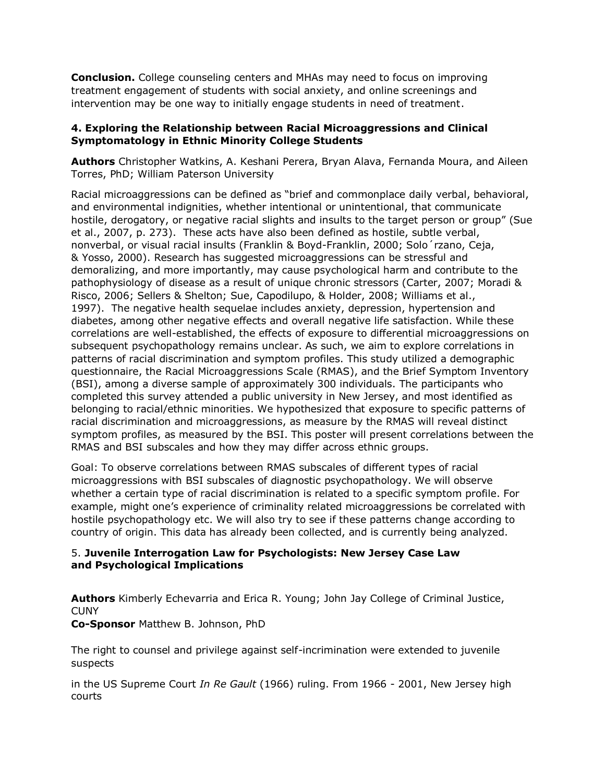**Conclusion.** College counseling centers and MHAs may need to focus on improving treatment engagement of students with social anxiety, and online screenings and intervention may be one way to initially engage students in need of treatment.

### **4. Exploring the Relationship between Racial Microaggressions and Clinical Symptomatology in Ethnic Minority College Students**

**Authors** Christopher Watkins, A. Keshani Perera, Bryan Alava, Fernanda Moura, and Aileen Torres, PhD; William Paterson University

Racial microaggressions can be defined as "brief and commonplace daily verbal, behavioral, and environmental indignities, whether intentional or unintentional, that communicate hostile, derogatory, or negative racial slights and insults to the target person or group" (Sue et al., 2007, p. 273). These acts have also been defined as hostile, subtle verbal, nonverbal, or visual racial insults (Franklin & Boyd-Franklin, 2000; Solo´rzano, Ceja, & Yosso, 2000). Research has suggested microaggressions can be stressful and demoralizing, and more importantly, may cause psychological harm and contribute to the pathophysiology of disease as a result of unique chronic stressors (Carter, 2007; Moradi & Risco, 2006; Sellers & Shelton; Sue, Capodilupo, & Holder, 2008; Williams et al., 1997). The negative health sequelae includes anxiety, depression, hypertension and diabetes, among other negative effects and overall negative life satisfaction. While these correlations are well-established, the effects of exposure to differential microaggressions on subsequent psychopathology remains unclear. As such, we aim to explore correlations in patterns of racial discrimination and symptom profiles. This study utilized a demographic questionnaire, the Racial Microaggressions Scale (RMAS), and the Brief Symptom Inventory (BSI), among a diverse sample of approximately 300 individuals. The participants who completed this survey attended a public university in New Jersey, and most identified as belonging to racial/ethnic minorities. We hypothesized that exposure to specific patterns of racial discrimination and microaggressions, as measure by the RMAS will reveal distinct symptom profiles, as measured by the BSI. This poster will present correlations between the RMAS and BSI subscales and how they may differ across ethnic groups.

Goal: To observe correlations between RMAS subscales of different types of racial microaggressions with BSI subscales of diagnostic psychopathology. We will observe whether a certain type of racial discrimination is related to a specific symptom profile. For example, might one's experience of criminality related microaggressions be correlated with hostile psychopathology etc. We will also try to see if these patterns change according to country of origin. This data has already been collected, and is currently being analyzed.

# 5. **Juvenile Interrogation Law for Psychologists: New Jersey Case Law and Psychological Implications**

**Authors** Kimberly Echevarria and Erica R. Young; John Jay College of Criminal Justice, **CUNY** 

**Co-Sponsor** Matthew B. Johnson, PhD

The right to counsel and privilege against self-incrimination were extended to juvenile suspects

in the US Supreme Court *In Re Gault* (1966) ruling. From 1966 - 2001, New Jersey high courts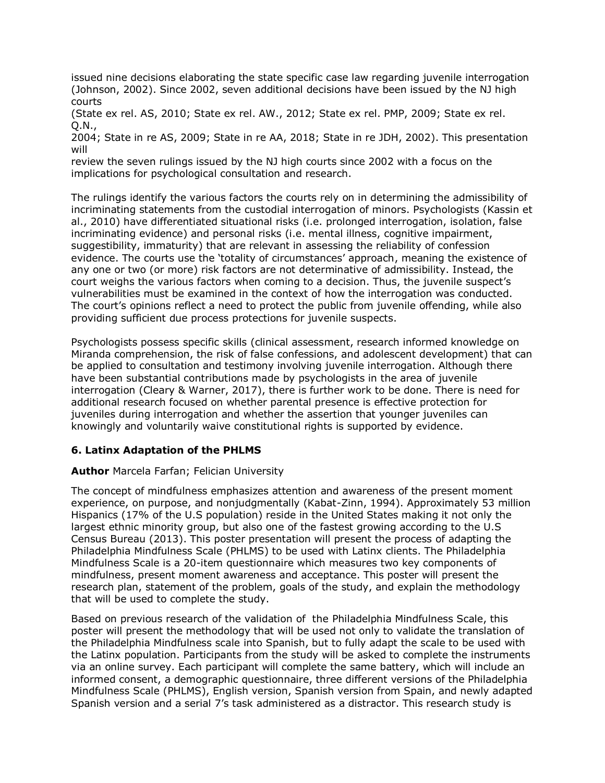issued nine decisions elaborating the state specific case law regarding juvenile interrogation (Johnson, 2002). Since 2002, seven additional decisions have been issued by the NJ high courts

(State ex rel. AS, 2010; State ex rel. AW., 2012; State ex rel. PMP, 2009; State ex rel. Q.N.,

2004; State in re AS, 2009; State in re AA, 2018; State in re JDH, 2002). This presentation will

review the seven rulings issued by the NJ high courts since 2002 with a focus on the implications for psychological consultation and research.

The rulings identify the various factors the courts rely on in determining the admissibility of incriminating statements from the custodial interrogation of minors. Psychologists (Kassin et al., 2010) have differentiated situational risks (i.e. prolonged interrogation, isolation, false incriminating evidence) and personal risks (i.e. mental illness, cognitive impairment, suggestibility, immaturity) that are relevant in assessing the reliability of confession evidence. The courts use the 'totality of circumstances' approach, meaning the existence of any one or two (or more) risk factors are not determinative of admissibility. Instead, the court weighs the various factors when coming to a decision. Thus, the juvenile suspect's vulnerabilities must be examined in the context of how the interrogation was conducted. The court's opinions reflect a need to protect the public from juvenile offending, while also providing sufficient due process protections for juvenile suspects.

Psychologists possess specific skills (clinical assessment, research informed knowledge on Miranda comprehension, the risk of false confessions, and adolescent development) that can be applied to consultation and testimony involving juvenile interrogation. Although there have been substantial contributions made by psychologists in the area of juvenile interrogation (Cleary & Warner, 2017), there is further work to be done. There is need for additional research focused on whether parental presence is effective protection for juveniles during interrogation and whether the assertion that younger juveniles can knowingly and voluntarily waive constitutional rights is supported by evidence.

#### **6. Latinx Adaptation of the PHLMS**

#### **Author** Marcela Farfan; Felician University

The concept of mindfulness emphasizes attention and awareness of the present moment experience, on purpose, and nonjudgmentally (Kabat-Zinn, 1994). Approximately 53 million Hispanics (17% of the U.S population) reside in the United States making it not only the largest ethnic minority group, but also one of the fastest growing according to the U.S Census Bureau (2013). This poster presentation will present the process of adapting the Philadelphia Mindfulness Scale (PHLMS) to be used with Latinx clients. The Philadelphia Mindfulness Scale is a 20-item questionnaire which measures two key components of mindfulness, present moment awareness and acceptance. This poster will present the research plan, statement of the problem, goals of the study, and explain the methodology that will be used to complete the study.

Based on previous research of the validation of the Philadelphia Mindfulness Scale, this poster will present the methodology that will be used not only to validate the translation of the Philadelphia Mindfulness scale into Spanish, but to fully adapt the scale to be used with the Latinx population. Participants from the study will be asked to complete the instruments via an online survey. Each participant will complete the same battery, which will include an informed consent, a demographic questionnaire, three different versions of the Philadelphia Mindfulness Scale (PHLMS), English version, Spanish version from Spain, and newly adapted Spanish version and a serial 7's task administered as a distractor. This research study is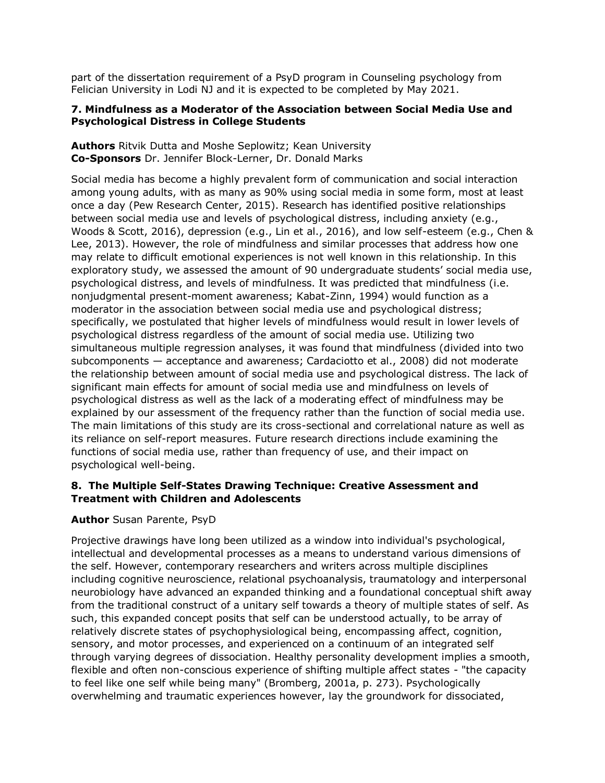part of the dissertation requirement of a PsyD program in Counseling psychology from Felician University in Lodi NJ and it is expected to be completed by May 2021.

### **7. Mindfulness as a Moderator of the Association between Social Media Use and Psychological Distress in College Students**

**Authors** Ritvik Dutta and Moshe Seplowitz; Kean University **Co-Sponsors** Dr. Jennifer Block-Lerner, Dr. Donald Marks

Social media has become a highly prevalent form of communication and social interaction among young adults, with as many as 90% using social media in some form, most at least once a day (Pew Research Center, 2015). Research has identified positive relationships between social media use and levels of psychological distress, including anxiety (e.g., Woods & Scott, 2016), depression (e.g., Lin et al., 2016), and low self-esteem (e.g., Chen & Lee, 2013). However, the role of mindfulness and similar processes that address how one may relate to difficult emotional experiences is not well known in this relationship. In this exploratory study, we assessed the amount of 90 undergraduate students' social media use, psychological distress, and levels of mindfulness. It was predicted that mindfulness (i.e. nonjudgmental present-moment awareness; Kabat-Zinn, 1994) would function as a moderator in the association between social media use and psychological distress; specifically, we postulated that higher levels of mindfulness would result in lower levels of psychological distress regardless of the amount of social media use. Utilizing two simultaneous multiple regression analyses, it was found that mindfulness (divided into two subcomponents — acceptance and awareness; Cardaciotto et al., 2008) did not moderate the relationship between amount of social media use and psychological distress. The lack of significant main effects for amount of social media use and mindfulness on levels of psychological distress as well as the lack of a moderating effect of mindfulness may be explained by our assessment of the frequency rather than the function of social media use. The main limitations of this study are its cross-sectional and correlational nature as well as its reliance on self-report measures. Future research directions include examining the functions of social media use, rather than frequency of use, and their impact on psychological well-being.

# **8. The Multiple Self-States Drawing Technique: Creative Assessment and Treatment with Children and Adolescents**

# **Author** Susan Parente, PsyD

Projective drawings have long been utilized as a window into individual's psychological, intellectual and developmental processes as a means to understand various dimensions of the self. However, contemporary researchers and writers across multiple disciplines including cognitive neuroscience, relational psychoanalysis, traumatology and interpersonal neurobiology have advanced an expanded thinking and a foundational conceptual shift away from the traditional construct of a unitary self towards a theory of multiple states of self. As such, this expanded concept posits that self can be understood actually, to be array of relatively discrete states of psychophysiological being, encompassing affect, cognition, sensory, and motor processes, and experienced on a continuum of an integrated self through varying degrees of dissociation. Healthy personality development implies a smooth, flexible and often non-conscious experience of shifting multiple affect states - "the capacity to feel like one self while being many" (Bromberg, 2001a, p. 273). Psychologically overwhelming and traumatic experiences however, lay the groundwork for dissociated,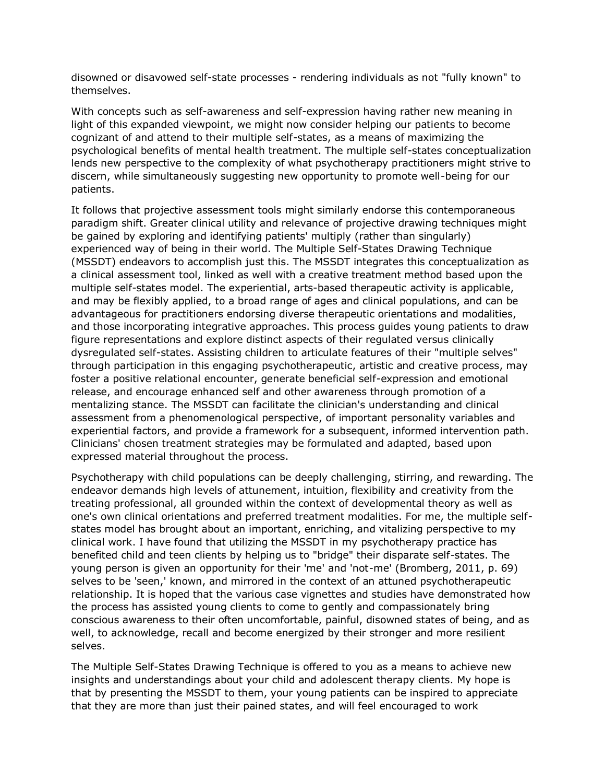disowned or disavowed self-state processes - rendering individuals as not "fully known" to themselves.

With concepts such as self-awareness and self-expression having rather new meaning in light of this expanded viewpoint, we might now consider helping our patients to become cognizant of and attend to their multiple self-states, as a means of maximizing the psychological benefits of mental health treatment. The multiple self-states conceptualization lends new perspective to the complexity of what psychotherapy practitioners might strive to discern, while simultaneously suggesting new opportunity to promote well-being for our patients.

It follows that projective assessment tools might similarly endorse this contemporaneous paradigm shift. Greater clinical utility and relevance of projective drawing techniques might be gained by exploring and identifying patients' multiply (rather than singularly) experienced way of being in their world. The Multiple Self-States Drawing Technique (MSSDT) endeavors to accomplish just this. The MSSDT integrates this conceptualization as a clinical assessment tool, linked as well with a creative treatment method based upon the multiple self-states model. The experiential, arts-based therapeutic activity is applicable, and may be flexibly applied, to a broad range of ages and clinical populations, and can be advantageous for practitioners endorsing diverse therapeutic orientations and modalities, and those incorporating integrative approaches. This process guides young patients to draw figure representations and explore distinct aspects of their regulated versus clinically dysregulated self-states. Assisting children to articulate features of their "multiple selves" through participation in this engaging psychotherapeutic, artistic and creative process, may foster a positive relational encounter, generate beneficial self-expression and emotional release, and encourage enhanced self and other awareness through promotion of a mentalizing stance. The MSSDT can facilitate the clinician's understanding and clinical assessment from a phenomenological perspective, of important personality variables and experiential factors, and provide a framework for a subsequent, informed intervention path. Clinicians' chosen treatment strategies may be formulated and adapted, based upon expressed material throughout the process.

Psychotherapy with child populations can be deeply challenging, stirring, and rewarding. The endeavor demands high levels of attunement, intuition, flexibility and creativity from the treating professional, all grounded within the context of developmental theory as well as one's own clinical orientations and preferred treatment modalities. For me, the multiple selfstates model has brought about an important, enriching, and vitalizing perspective to my clinical work. I have found that utilizing the MSSDT in my psychotherapy practice has benefited child and teen clients by helping us to "bridge" their disparate self-states. The young person is given an opportunity for their 'me' and 'not-me' (Bromberg, 2011, p. 69) selves to be 'seen,' known, and mirrored in the context of an attuned psychotherapeutic relationship. It is hoped that the various case vignettes and studies have demonstrated how the process has assisted young clients to come to gently and compassionately bring conscious awareness to their often uncomfortable, painful, disowned states of being, and as well, to acknowledge, recall and become energized by their stronger and more resilient selves.

The Multiple Self-States Drawing Technique is offered to you as a means to achieve new insights and understandings about your child and adolescent therapy clients. My hope is that by presenting the MSSDT to them, your young patients can be inspired to appreciate that they are more than just their pained states, and will feel encouraged to work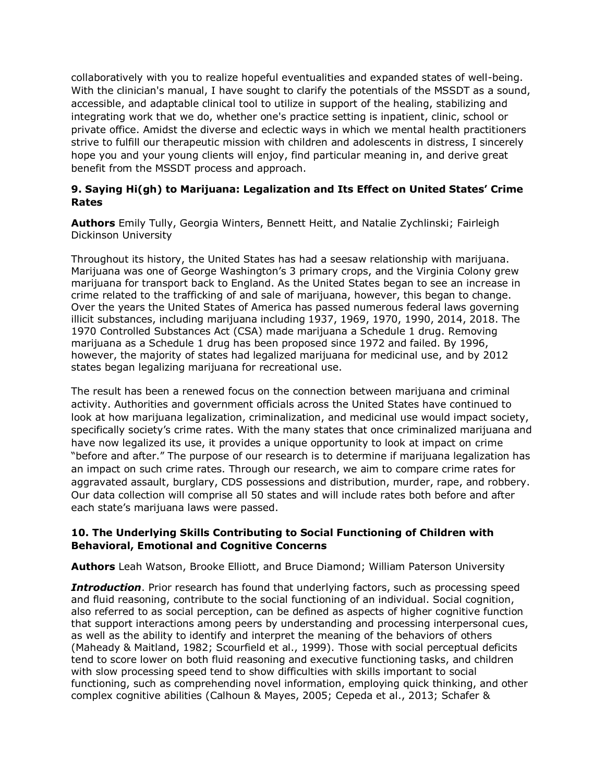collaboratively with you to realize hopeful eventualities and expanded states of well-being. With the clinician's manual, I have sought to clarify the potentials of the MSSDT as a sound, accessible, and adaptable clinical tool to utilize in support of the healing, stabilizing and integrating work that we do, whether one's practice setting is inpatient, clinic, school or private office. Amidst the diverse and eclectic ways in which we mental health practitioners strive to fulfill our therapeutic mission with children and adolescents in distress, I sincerely hope you and your young clients will enjoy, find particular meaning in, and derive great benefit from the MSSDT process and approach.

# **9. Saying Hi(gh) to Marijuana: Legalization and Its Effect on United States' Crime Rates**

**Authors** Emily Tully, Georgia Winters, Bennett Heitt, and Natalie Zychlinski; Fairleigh Dickinson University

Throughout its history, the United States has had a seesaw relationship with marijuana. Marijuana was one of George Washington's 3 primary crops, and the Virginia Colony grew marijuana for transport back to England. As the United States began to see an increase in crime related to the trafficking of and sale of marijuana, however, this began to change. Over the years the United States of America has passed numerous federal laws governing illicit substances, including marijuana including 1937, 1969, 1970, 1990, 2014, 2018. The 1970 Controlled Substances Act (CSA) made marijuana a Schedule 1 drug. Removing marijuana as a Schedule 1 drug has been proposed since 1972 and failed. By 1996, however, the majority of states had legalized marijuana for medicinal use, and by 2012 states began legalizing marijuana for recreational use.

The result has been a renewed focus on the connection between marijuana and criminal activity. Authorities and government officials across the United States have continued to look at how marijuana legalization, criminalization, and medicinal use would impact society, specifically society's crime rates. With the many states that once criminalized marijuana and have now legalized its use, it provides a unique opportunity to look at impact on crime "before and after." The purpose of our research is to determine if marijuana legalization has an impact on such crime rates. Through our research, we aim to compare crime rates for aggravated assault, burglary, CDS possessions and distribution, murder, rape, and robbery. Our data collection will comprise all 50 states and will include rates both before and after each state's marijuana laws were passed.

# **10. The Underlying Skills Contributing to Social Functioning of Children with Behavioral, Emotional and Cognitive Concerns**

**Authors** Leah Watson, Brooke Elliott, and Bruce Diamond; William Paterson University

**Introduction**. Prior research has found that underlying factors, such as processing speed and fluid reasoning, contribute to the social functioning of an individual. Social cognition, also referred to as social perception, can be defined as aspects of higher cognitive function that support interactions among peers by understanding and processing interpersonal cues, as well as the ability to identify and interpret the meaning of the behaviors of others (Maheady & Maitland, 1982; Scourfield et al., 1999). Those with social perceptual deficits tend to score lower on both fluid reasoning and executive functioning tasks, and children with slow processing speed tend to show difficulties with skills important to social functioning, such as comprehending novel information, employing quick thinking, and other complex cognitive abilities (Calhoun & Mayes, 2005; Cepeda et al., 2013; Schafer &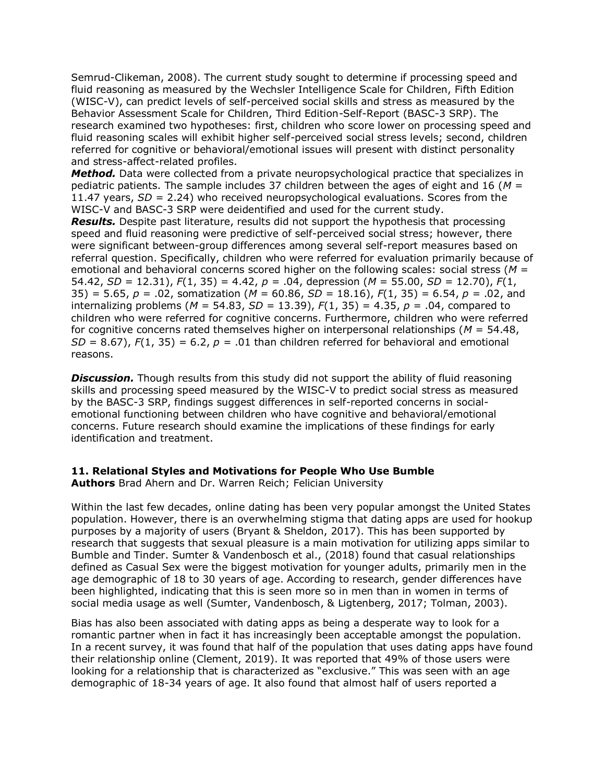Semrud-Clikeman, 2008). The current study sought to determine if processing speed and fluid reasoning as measured by the Wechsler Intelligence Scale for Children, Fifth Edition (WISC-V), can predict levels of self-perceived social skills and stress as measured by the Behavior Assessment Scale for Children, Third Edition-Self-Report (BASC-3 SRP). The research examined two hypotheses: first, children who score lower on processing speed and fluid reasoning scales will exhibit higher self-perceived social stress levels; second, children referred for cognitive or behavioral/emotional issues will present with distinct personality and stress-affect-related profiles.

**Method.** Data were collected from a private neuropsychological practice that specializes in pediatric patients. The sample includes 37 children between the ages of eight and 16 (*M* = 11.47 years, *SD* = 2.24) who received neuropsychological evaluations. Scores from the WISC-V and BASC-3 SRP were deidentified and used for the current study.

**Results.** Despite past literature, results did not support the hypothesis that processing speed and fluid reasoning were predictive of self-perceived social stress; however, there were significant between-group differences among several self-report measures based on referral question. Specifically, children who were referred for evaluation primarily because of emotional and behavioral concerns scored higher on the following scales: social stress (*M* = 54.42, *SD* = 12.31), *F*(1, 35) = 4.42, *p =* .04, depression (*M* = 55.00, *SD* = 12.70), *F*(1, 35) = 5.65, *p =* .02, somatization (*M* = 60.86, *SD* = 18.16), *F*(1, 35) = 6.54, *p =* .02, and internalizing problems (*M* = 54.83, *SD* = 13.39), *F*(1, 35) = 4.35, *p =* .04, compared to children who were referred for cognitive concerns. Furthermore, children who were referred for cognitive concerns rated themselves higher on interpersonal relationships (*M* = 54.48, *SD* = 8.67),  $F(1, 35)$  = 6.2,  $p$  = .01 than children referred for behavioral and emotional reasons.

**Discussion.** Though results from this study did not support the ability of fluid reasoning skills and processing speed measured by the WISC-V to predict social stress as measured by the BASC-3 SRP, findings suggest differences in self-reported concerns in socialemotional functioning between children who have cognitive and behavioral/emotional concerns. Future research should examine the implications of these findings for early identification and treatment.

# **11. Relational Styles and Motivations for People Who Use Bumble**

**Authors** Brad Ahern and Dr. Warren Reich; Felician University

Within the last few decades, online dating has been very popular amongst the United States population. However, there is an overwhelming stigma that dating apps are used for hookup purposes by a majority of users (Bryant & Sheldon, 2017). This has been supported by research that suggests that sexual pleasure is a main motivation for utilizing apps similar to Bumble and Tinder. Sumter & Vandenbosch et al., (2018) found that casual relationships defined as Casual Sex were the biggest motivation for younger adults, primarily men in the age demographic of 18 to 30 years of age. According to research, gender differences have been highlighted, indicating that this is seen more so in men than in women in terms of social media usage as well (Sumter, Vandenbosch, & Ligtenberg, 2017; Tolman, 2003).

Bias has also been associated with dating apps as being a desperate way to look for a romantic partner when in fact it has increasingly been acceptable amongst the population. In a recent survey, it was found that half of the population that uses dating apps have found their relationship online (Clement, 2019). It was reported that 49% of those users were looking for a relationship that is characterized as "exclusive." This was seen with an age demographic of 18-34 years of age. It also found that almost half of users reported a